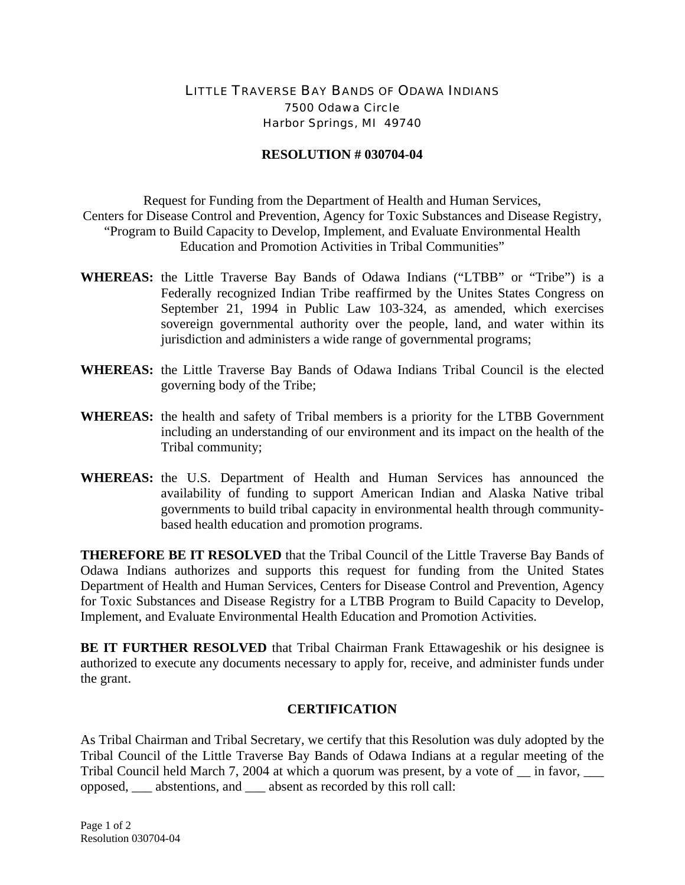## LITTLE TRAVERSE BAY BANDS OF ODAWA INDIANS 7500 Odawa Circle Harbor Springs, MI 49740

## **RESOLUTION # 030704-04**

Request for Funding from the Department of Health and Human Services, Centers for Disease Control and Prevention, Agency for Toxic Substances and Disease Registry, "Program to Build Capacity to Develop, Implement, and Evaluate Environmental Health Education and Promotion Activities in Tribal Communities"

- **WHEREAS:** the Little Traverse Bay Bands of Odawa Indians ("LTBB" or "Tribe") is a Federally recognized Indian Tribe reaffirmed by the Unites States Congress on September 21, 1994 in Public Law 103-324, as amended, which exercises sovereign governmental authority over the people, land, and water within its jurisdiction and administers a wide range of governmental programs;
- **WHEREAS:** the Little Traverse Bay Bands of Odawa Indians Tribal Council is the elected governing body of the Tribe;
- **WHEREAS:** the health and safety of Tribal members is a priority for the LTBB Government including an understanding of our environment and its impact on the health of the Tribal community;
- **WHEREAS:** the U.S. Department of Health and Human Services has announced the availability of funding to support American Indian and Alaska Native tribal governments to build tribal capacity in environmental health through communitybased health education and promotion programs.

**THEREFORE BE IT RESOLVED** that the Tribal Council of the Little Traverse Bay Bands of Odawa Indians authorizes and supports this request for funding from the United States Department of Health and Human Services, Centers for Disease Control and Prevention, Agency for Toxic Substances and Disease Registry for a LTBB Program to Build Capacity to Develop, Implement, and Evaluate Environmental Health Education and Promotion Activities.

**BE IT FURTHER RESOLVED** that Tribal Chairman Frank Ettawageshik or his designee is authorized to execute any documents necessary to apply for, receive, and administer funds under the grant.

## **CERTIFICATION**

As Tribal Chairman and Tribal Secretary, we certify that this Resolution was duly adopted by the Tribal Council of the Little Traverse Bay Bands of Odawa Indians at a regular meeting of the Tribal Council held March 7, 2004 at which a quorum was present, by a vote of  $\equiv$  in favor,  $\equiv$ opposed, \_\_\_ abstentions, and \_\_\_ absent as recorded by this roll call: